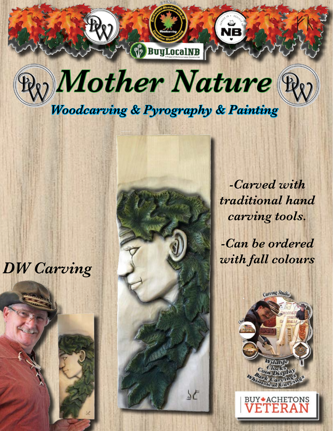



## *DW Carving*



*-Carved with traditional hand carving tools.*

*-Can be ordered with fall colours* 



ETERA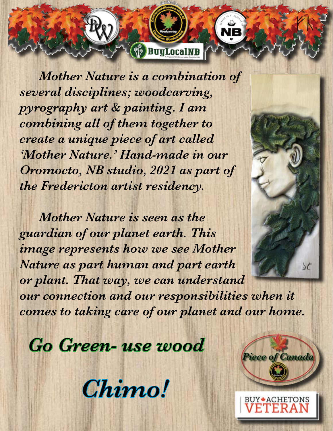*Mother Nature is a combination of several disciplines; woodcarving, pyrography art & painting. I am combining all of them together to create a unique piece of art called 'Mother Nature.' Hand-made in our Oromocto, NB studio, 2021 as part of the Fredericton artist residency.* 

**SP BuyLocalNB** 

*Mother Nature is seen as the guardian of our planet earth. This image represents how we see Mother Nature as part human and part earth or plant. That way, we can understand our connection and our responsibilities when it comes to taking care of our planet and our home.*

*Go Green- use wood*

*Chimo!*



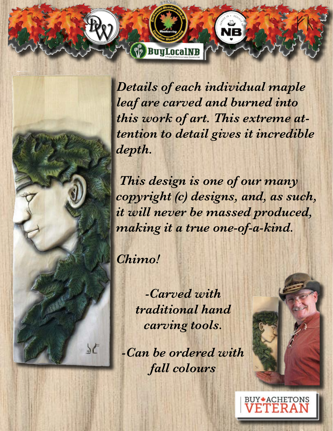*Details of each individual maple leaf are carved and burned into this work of art. This extreme attention to detail gives it incredible depth.* 

**BuyLocalNB** 

 *This design is one of our many copyright (c) designs, and, as such, it will never be massed produced, making it a true one-of-a-kind.*

*Chimo!* 

 $5E$ 

*-Carved with traditional hand carving tools.*

*-Can be ordered with fall colours* 

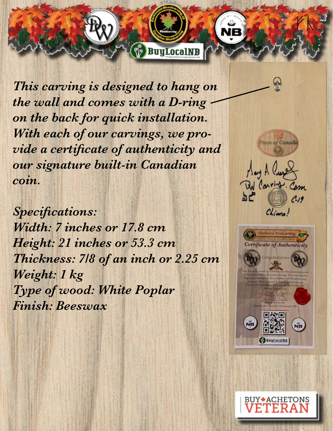*This carving is designed to hang on the wall and comes with a D-ring on the back for quick installation. With each of our carvings, we provide a certificate of authenticity and our signature built-in Canadian coin.* 

**BuyLocalNB** 

*Specifications: Width: 7 inches or 17.8 cm Height: 21 inches or 53.3 cm Thickness: 7/8 of an inch or 2.25 cm Weight: 1 kg Type of wood: White Poplar Finish: Beeswax*